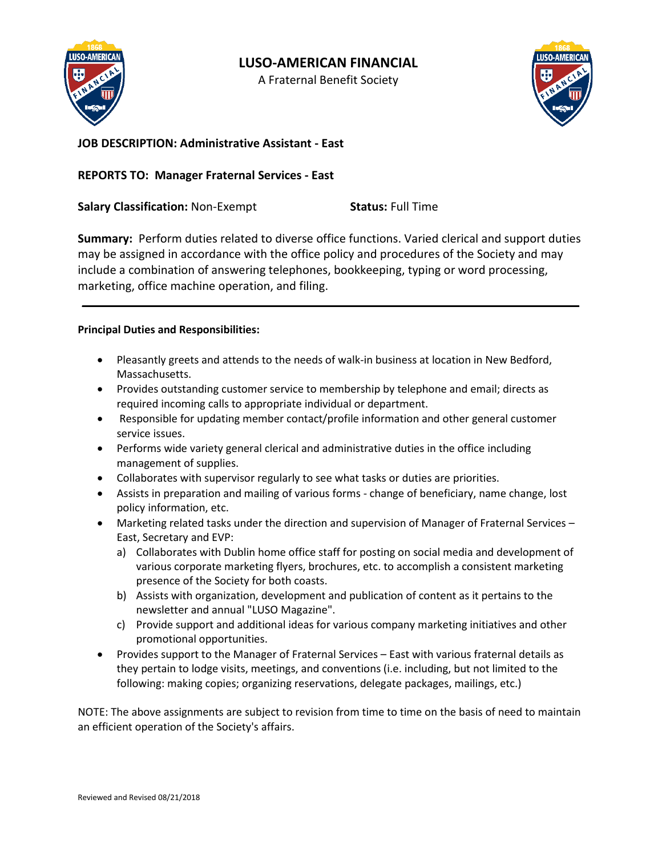

# **LUSO-AMERICAN FINANCIAL**

A Fraternal Benefit Society



**JOB DESCRIPTION: Administrative Assistant - East** 

# **REPORTS TO: Manager Fraternal Services - East**

**Salary Classification:** Non-Exempt **Status:** Full Time

**Summary:** Perform duties related to diverse office functions. Varied clerical and support duties may be assigned in accordance with the office policy and procedures of the Society and may include a combination of answering telephones, bookkeeping, typing or word processing, marketing, office machine operation, and filing.

**\_\_\_\_\_\_\_\_\_\_\_\_\_\_\_\_\_\_\_\_\_\_\_\_\_\_\_\_\_\_\_\_\_\_\_\_\_\_\_\_\_\_\_\_\_\_\_\_\_\_\_\_\_\_\_\_\_\_\_\_\_\_\_\_\_\_\_\_\_\_\_\_\_\_\_\_\_\_\_\_\_\_\_\_** 

### **Principal Duties and Responsibilities:**

- Pleasantly greets and attends to the needs of walk-in business at location in New Bedford, Massachusetts.
- Provides outstanding customer service to membership by telephone and email; directs as required incoming calls to appropriate individual or department.
- Responsible for updating member contact/profile information and other general customer service issues.
- Performs wide variety general clerical and administrative duties in the office including management of supplies.
- Collaborates with supervisor regularly to see what tasks or duties are priorities.
- Assists in preparation and mailing of various forms change of beneficiary, name change, lost policy information, etc.
- Marketing related tasks under the direction and supervision of Manager of Fraternal Services East, Secretary and EVP:
	- a) Collaborates with Dublin home office staff for posting on social media and development of various corporate marketing flyers, brochures, etc. to accomplish a consistent marketing presence of the Society for both coasts.
	- b) Assists with organization, development and publication of content as it pertains to the newsletter and annual "LUSO Magazine".
	- c) Provide support and additional ideas for various company marketing initiatives and other promotional opportunities.
- Provides support to the Manager of Fraternal Services East with various fraternal details as they pertain to lodge visits, meetings, and conventions (i.e. including, but not limited to the following: making copies; organizing reservations, delegate packages, mailings, etc.)

NOTE: The above assignments are subject to revision from time to time on the basis of need to maintain an efficient operation of the Society's affairs.